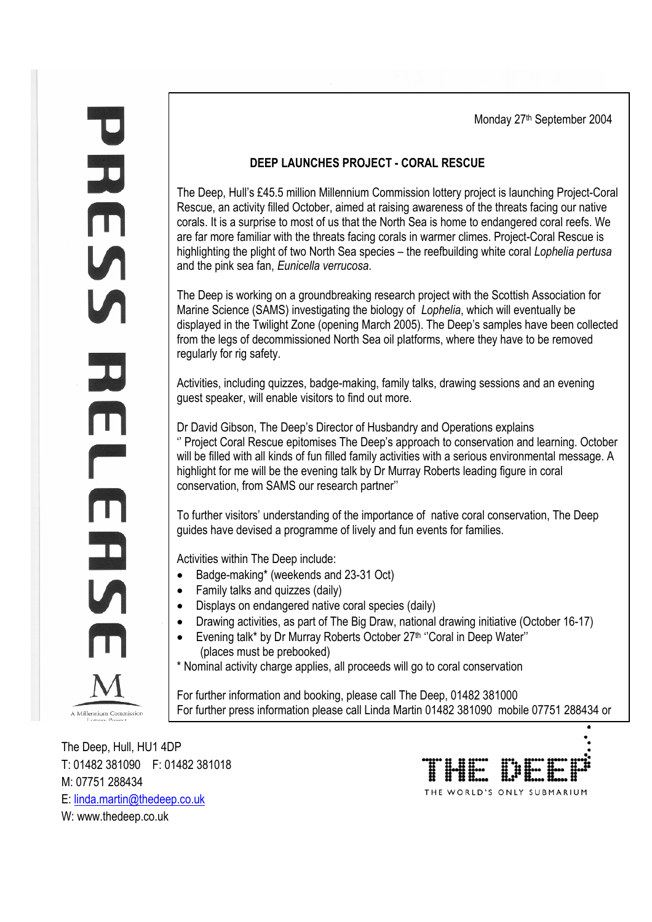Monday 27th September 2004

## **DEEP LAUNCHES PROJECT - CORAL RESCUE**

The Deep, Hull's £45.5 million Millennium Commission lottery project is launching Project-Coral Rescue, an activity filled October, aimed at raising awareness of the threats facing our native corals. It is a surprise to most of us that the North Sea is home to endangered coral reefs. We are far more familiar with the threats facing corals in warmer climes. Project-Coral Rescue is highlighting the plight of two North Sea species – the reefbuilding white coral *Lophelia pertusa* and the pink sea fan, *Eunicella verrucosa*.

The Deep is working on a groundbreaking research project with the Scottish Association for Marine Science (SAMS) investigating the biology of *Lophelia*, which will eventually be displayed in the Twilight Zone (opening March 2005). The Deep's samples have been collected from the legs of decommissioned North Sea oil platforms, where they have to be removed regularly for rig safety.

Activities, including quizzes, badge-making, family talks, drawing sessions and an evening guest speaker, will enable visitors to find out more.

Dr David Gibson, The Deep's Director of Husbandry and Operations explains '' Project Coral Rescue epitomises The Deep's approach to conservation and learning. October will be filled with all kinds of fun filled family activities with a serious environmental message. A highlight for me will be the evening talk by Dr Murray Roberts leading figure in coral conservation, from SAMS our research partner''

To further visitors' understanding of the importance of native coral conservation, The Deep guides have devised a programme of lively and fun events for families.

Activities within The Deep include:

- Badge-making\* (weekends and 23-31 Oct)
- Family talks and quizzes (daily)
- Displays on endangered native coral species (daily)
- Drawing activities, as part of The Big Draw, national drawing initiative (October 16-17)
- Evening talk\* by Dr Murray Roberts October 27th ''Coral in Deep Water'' (places must be prebooked)
- \* Nominal activity charge applies, all proceeds will go to coral conservation

For further information and booking, please call The Deep, 01482 381000 For further press information please call Linda Martin 01482 381090 mobile 07751 288434 or

The Deep, Hull, HU1 4DP T: 01482 381090 F: 01482 381018 M: 07751 288434 E: linda.martin@thedeep.co.uk W: www.thedeep.co.uk



 $\overline{\mathbf{L}}$ m<br>M m  $\blacksquare$ A Millennium Commissio